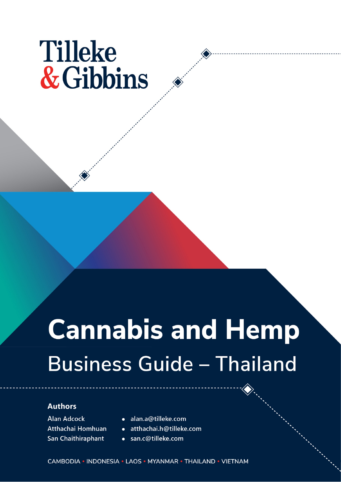# **Tilleke** & Gibbins

# **Cannabis and Hemp Business Guide - Thailand**

#### **Authors**

**Alan Adcock** Atthachai Homhuan San Chaithiraphant

- · alan.a@tilleke.com
- atthachai.h@tilleke.com
- · san.c@tilleke.com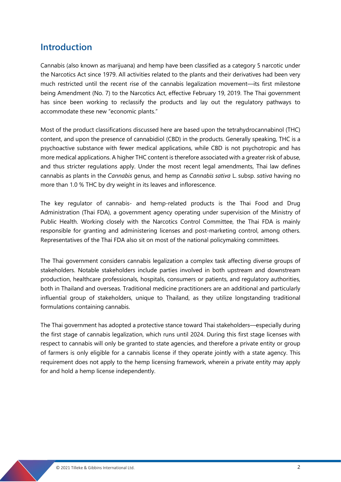### **Introduction**

Cannabis (also known as marijuana) and hemp have been classified as a category 5 narcotic under the Narcotics Act since 1979. All activities related to the plants and their derivatives had been very much restricted until the recent rise of the cannabis legalization movement—its first milestone being Amendment (No. 7) to the Narcotics Act, effective February 19, 2019. The Thai government has since been working to reclassify the products and lay out the regulatory pathways to accommodate these new "economic plants."

Most of the product classifications discussed here are based upon the tetrahydrocannabinol (THC) content, and upon the presence of cannabidiol (CBD) in the products. Generally speaking, THC is a psychoactive substance with fewer medical applications, while CBD is not psychotropic and has more medical applications. A higher THC content is therefore associated with a greater risk of abuse, and thus stricter regulations apply. Under the most recent legal amendments, Thai law defines cannabis as plants in the *Cannabis* genus, and hemp as *Cannabis sativa* L. subsp. *sativa* having no more than 1.0 % THC by dry weight in its leaves and inflorescence.

The key regulator of cannabis- and hemp-related products is the Thai Food and Drug Administration (Thai FDA), a government agency operating under supervision of the Ministry of Public Health. Working closely with the Narcotics Control Committee, the Thai FDA is mainly responsible for granting and administering licenses and post-marketing control, among others. Representatives of the Thai FDA also sit on most of the national policymaking committees.

The Thai government considers cannabis legalization a complex task affecting diverse groups of stakeholders. Notable stakeholders include parties involved in both upstream and downstream production, healthcare professionals, hospitals, consumers or patients, and regulatory authorities, both in Thailand and overseas. Traditional medicine practitioners are an additional and particularly influential group of stakeholders, unique to Thailand, as they utilize longstanding traditional formulations containing cannabis.

The Thai government has adopted a protective stance toward Thai stakeholders—especially during the first stage of cannabis legalization, which runs until 2024. During this first stage licenses with respect to cannabis will only be granted to state agencies, and therefore a private entity or group of farmers is only eligible for a cannabis license if they operate jointly with a state agency. This requirement does not apply to the hemp licensing framework, wherein a private entity may apply for and hold a hemp license independently.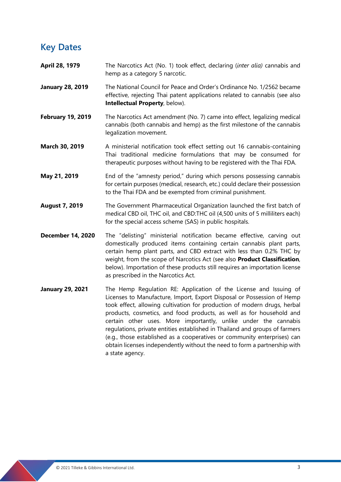## **Key Dates**

- **April 28, 1979** The Narcotics Act (No. 1) took effect, declaring (*inter alia)* cannabis and hemp as a category 5 narcotic.
- **January 28, 2019** The National Council for Peace and Order's Ordinance No. 1/2562 became effective, rejecting Thai patent applications related to cannabis (see also **Intellectual Property**, below).
- **February 19, 2019** The Narcotics Act amendment (No. 7) came into effect, legalizing medical cannabis (both cannabis and hemp) as the first milestone of the cannabis legalization movement.
- **March 30, 2019** A ministerial notification took effect setting out 16 cannabis-containing Thai traditional medicine formulations that may be consumed for therapeutic purposes without having to be registered with the Thai FDA.
- **May 21, 2019** End of the "amnesty period," during which persons possessing cannabis for certain purposes (medical, research, etc.) could declare their possession to the Thai FDA and be exempted from criminal punishment.
- **August 7, 2019** The Government Pharmaceutical Organization launched the first batch of medical CBD oil, THC oil, and CBD:THC oil (4,500 units of 5 milliliters each) for the special access scheme (SAS) in public hospitals.
- **December 14, 2020** The "delisting" ministerial notification became effective, carving out domestically produced items containing certain cannabis plant parts, certain hemp plant parts, and CBD extract with less than 0.2% THC by weight, from the scope of Narcotics Act (see also **Product Classification**, below). Importation of these products still requires an importation license as prescribed in the Narcotics Act.
- **January 29, 2021** The Hemp Regulation RE: Application of the License and Issuing of Licenses to Manufacture, Import, Export Disposal or Possession of Hemp took effect, allowing cultivation for production of modern drugs, herbal products, cosmetics, and food products, as well as for household and certain other uses. More importantly, unlike under the cannabis regulations, private entities established in Thailand and groups of farmers (e.g., those established as a cooperatives or community enterprises) can obtain licenses independently without the need to form a partnership with a state agency.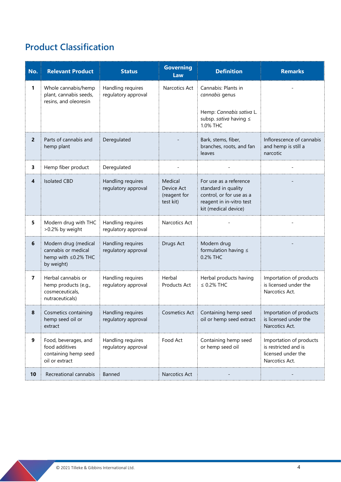# **Product Classification**

| No.                     | <b>Relevant Product</b>                                                          | <b>Status</b>                            | <b>Governing</b><br>Law                            | <b>Definition</b>                                                                                                             | <b>Remarks</b>                                                                          |
|-------------------------|----------------------------------------------------------------------------------|------------------------------------------|----------------------------------------------------|-------------------------------------------------------------------------------------------------------------------------------|-----------------------------------------------------------------------------------------|
| 1                       | Whole cannabis/hemp<br>plant, cannabis seeds,<br>resins, and oleoresin           | Handling requires<br>regulatory approval | Narcotics Act                                      | Cannabis: Plants in<br>cannabis genus                                                                                         |                                                                                         |
|                         |                                                                                  |                                          |                                                    | Hemp: Cannabis sativa L.<br>subsp. sativa having ≤<br>1.0% THC                                                                |                                                                                         |
| $\overline{2}$          | Parts of cannabis and<br>hemp plant                                              | Deregulated                              |                                                    | Bark, stems, fiber,<br>branches, roots, and fan<br>leaves                                                                     | Inflorescence of cannabis<br>and hemp is still a<br>narcotic                            |
| 3                       | Hemp fiber product                                                               | Deregulated                              |                                                    |                                                                                                                               |                                                                                         |
| $\overline{\mathbf{4}}$ | <b>Isolated CBD</b>                                                              | Handling requires<br>regulatory approval | Medical<br>Device Act<br>(reagent for<br>test kit) | For use as a reference<br>standard in quality<br>control, or for use as a<br>reagent in in-vitro test<br>kit (medical device) |                                                                                         |
| 5                       | Modern drug with THC<br>>0.2% by weight                                          | Handling requires<br>regulatory approval | Narcotics Act                                      |                                                                                                                               |                                                                                         |
| 6                       | Modern drug (medical<br>cannabis or medical<br>hemp with ≤0.2% THC<br>by weight) | Handling requires<br>regulatory approval | Drugs Act                                          | Modern drug<br>formulation having $\leq$<br>0.2% THC                                                                          |                                                                                         |
| 7                       | Herbal cannabis or<br>hemp products (e.g.,<br>cosmeceuticals,<br>nutraceuticals) | Handling requires<br>regulatory approval | Herbal<br>Products Act                             | Herbal products having<br>$\leq$ 0.2% THC                                                                                     | Importation of products<br>is licensed under the<br>Narcotics Act.                      |
| 8                       | Cosmetics containing<br>hemp seed oil or<br>extract                              | Handling requires<br>regulatory approval | <b>Cosmetics Act</b>                               | Containing hemp seed<br>oil or hemp seed extract                                                                              | Importation of products<br>is licensed under the<br>Narcotics Act.                      |
| 9                       | Food, beverages, and<br>food additives<br>containing hemp seed<br>oil or extract | Handling requires<br>regulatory approval | Food Act                                           | Containing hemp seed<br>or hemp seed oil                                                                                      | Importation of products<br>is restricted and is<br>licensed under the<br>Narcotics Act. |
| 10                      | Recreational cannabis                                                            | Banned                                   | Narcotics Act                                      |                                                                                                                               |                                                                                         |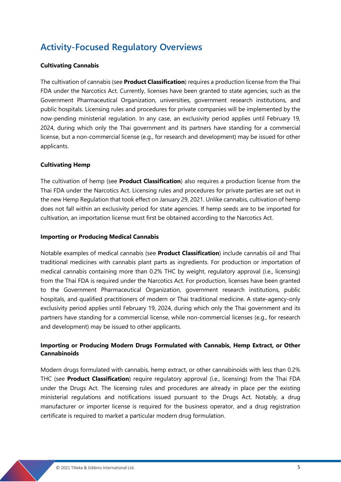## **Activity-Focused Regulatory Overviews**

#### **Cultivating Cannabis**

The cultivation of cannabis (see **Product Classification**) requires a production license from the Thai FDA under the Narcotics Act. Currently, licenses have been granted to state agencies, such as the Government Pharmaceutical Organization, universities, government research institutions, and public hospitals. Licensing rules and procedures for private companies will be implemented by the now-pending ministerial regulation. In any case, an exclusivity period applies until February 19, 2024, during which only the Thai government and its partners have standing for a commercial license, but a non-commercial license (e.g., for research and development) may be issued for other applicants.

#### **Cultivating Hemp**

The cultivation of hemp (see **Product Classification**) also requires a production license from the Thai FDA under the Narcotics Act. Licensing rules and procedures for private parties are set out in the new Hemp Regulation that took effect on January 29, 2021. Unlike cannabis, cultivation of hemp does not fall within an exclusivity period for state agencies. If hemp seeds are to be imported for cultivation, an importation license must first be obtained according to the Narcotics Act.

#### **Importing or Producing Medical Cannabis**

Notable examples of medical cannabis (see **Product Classification**) include cannabis oil and Thai traditional medicines with cannabis plant parts as ingredients. For production or importation of medical cannabis containing more than 0.2% THC by weight, regulatory approval (i.e., licensing) from the Thai FDA is required under the Narcotics Act. For production, licenses have been granted to the Government Pharmaceutical Organization, government research institutions, public hospitals, and qualified practitioners of modern or Thai traditional medicine. A state-agency-only exclusivity period applies until February 19, 2024, during which only the Thai government and its partners have standing for a commercial license, while non-commercial licenses (e.g., for research and development) may be issued to other applicants.

#### **Importing or Producing Modern Drugs Formulated with Cannabis, Hemp Extract, or Other Cannabinoids**

Modern drugs formulated with cannabis, hemp extract, or other cannabinoids with less than 0.2% THC (see **Product Classification**) require regulatory approval (i.e., licensing) from the Thai FDA under the Drugs Act. The licensing rules and procedures are already in place per the existing ministerial regulations and notifications issued pursuant to the Drugs Act. Notably, a drug manufacturer or importer license is required for the business operator, and a drug registration certificate is required to market a particular modern drug formulation.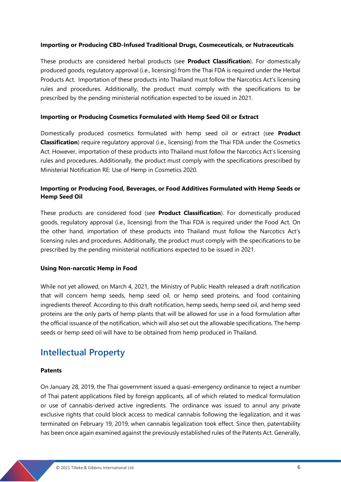#### **Importing or Producing CBD-Infused Traditional Drugs, Cosmeceuticals, or Nutraceuticals**

These products are considered herbal products (see **Product Classification**). For domestically produced goods, regulatory approval (i.e., licensing) from the Thai FDA is required under the Herbal Products Act. Importation of these products into Thailand must follow the Narcotics Act's licensing rules and procedures. Additionally, the product must comply with the specifications to be prescribed by the pending ministerial notification expected to be issued in 2021.

#### **Importing or Producing Cosmetics Formulated with Hemp Seed Oil or Extract**

Domestically produced cosmetics formulated with hemp seed oil or extract (see **Product Classification**) require regulatory approval (i.e., licensing) from the Thai FDA under the Cosmetics Act. However, importation of these products into Thailand must follow the Narcotics Act's licensing rules and procedures. Additionally, the product must comply with the specifications prescribed by Ministerial Notification RE: Use of Hemp in Cosmetics 2020.

#### **Importing or Producing Food, Beverages, or Food Additives Formulated with Hemp Seeds or Hemp Seed Oil**

These products are considered food (see **Product Classification**). For domestically produced goods, regulatory approval (i.e., licensing) from the Thai FDA is required under the Food Act. On the other hand, importation of these products into Thailand must follow the Narcotics Act's licensing rules and procedures. Additionally, the product must comply with the specifications to be prescribed by the pending ministerial notifications expected to be issued in 2021.

#### **Using Non-narcotic Hemp in Food**

While not yet allowed, on March 4, 2021, the Ministry of Public Health released a draft notification that will concern hemp seeds, hemp seed oil, or hemp seed proteins, and food containing ingredients thereof. According to this draft notification, hemp seeds, hemp seed oil, and hemp seed proteins are the only parts of hemp plants that will be allowed for use in a food formulation after the official issuance of the notification, which will also set out the allowable specifications. The hemp seeds or hemp seed oil will have to be obtained from hemp produced in Thailand.

### **Intellectual Property**

#### **Patents**

On January 28, 2019, the Thai government issued a quasi-emergency ordinance to reject a number of Thai patent applications filed by foreign applicants, all of which related to medical formulation or use of cannabis-derived active ingredients. The ordinance was issued to annul any private exclusive rights that could block access to medical cannabis following the legalization, and it was terminated on February 19, 2019, when cannabis legalization took effect. Since then, patentability has been once again examined against the previously established rules of the Patents Act. Generally,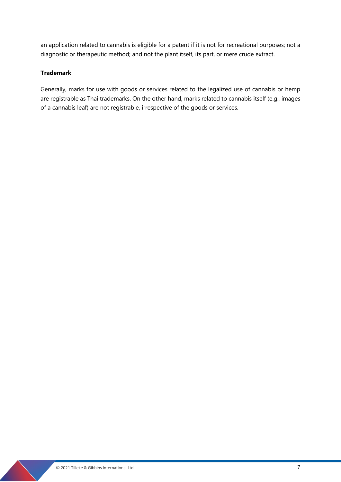an application related to cannabis is eligible for a patent if it is not for recreational purposes; not a diagnostic or therapeutic method; and not the plant itself, its part, or mere crude extract.

#### **Trademark**

Generally, marks for use with goods or services related to the legalized use of cannabis or hemp are registrable as Thai trademarks. On the other hand, marks related to cannabis itself (e.g., images of a cannabis leaf) are not registrable, irrespective of the goods or services.